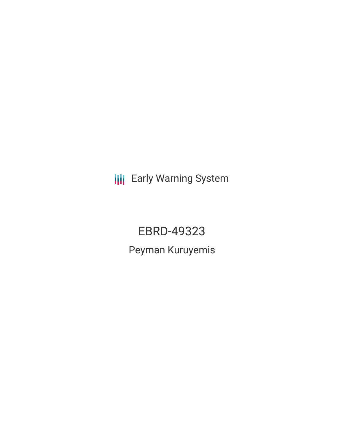**III** Early Warning System

EBRD-49323 Peyman Kuruyemis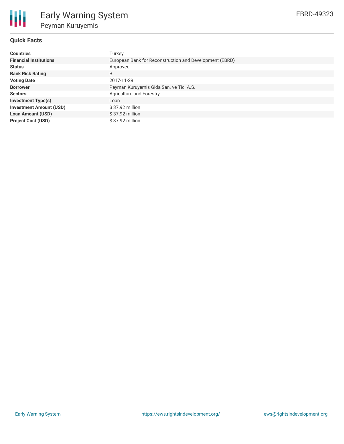

## **Quick Facts**

| <b>Countries</b>               | Turkey                                                  |
|--------------------------------|---------------------------------------------------------|
| <b>Financial Institutions</b>  | European Bank for Reconstruction and Development (EBRD) |
| <b>Status</b>                  | Approved                                                |
| <b>Bank Risk Rating</b>        | B                                                       |
| <b>Voting Date</b>             | 2017-11-29                                              |
| <b>Borrower</b>                | Peyman Kuruyemis Gida San. ve Tic. A.S.                 |
| <b>Sectors</b>                 | <b>Agriculture and Forestry</b>                         |
| <b>Investment Type(s)</b>      | Loan                                                    |
| <b>Investment Amount (USD)</b> | \$37.92 million                                         |
| <b>Loan Amount (USD)</b>       | \$37.92 million                                         |
| <b>Project Cost (USD)</b>      | $$37.92$ million                                        |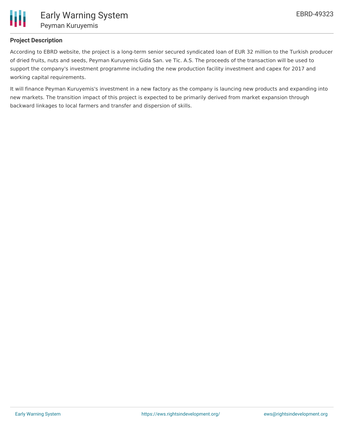

## **Project Description**

According to EBRD website, the project is a long-term senior secured syndicated loan of EUR 32 million to the Turkish producer of dried fruits, nuts and seeds, Peyman Kuruyemis Gida San. ve Tic. A.S. The proceeds of the transaction will be used to support the company's investment programme including the new production facility investment and capex for 2017 and working capital requirements.

It will finance Peyman Kuruyemis's investment in a new factory as the company is launcing new products and expanding into new markets. The transition impact of this project is expected to be primarily derived from market expansion through backward linkages to local farmers and transfer and dispersion of skills.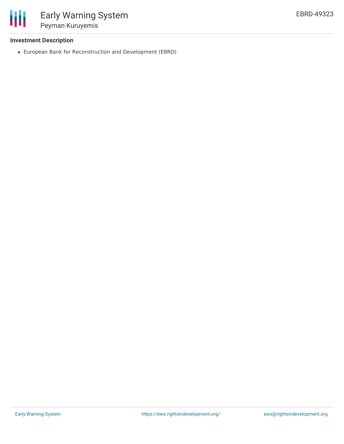

### **Investment Description**

European Bank for Reconstruction and Development (EBRD)